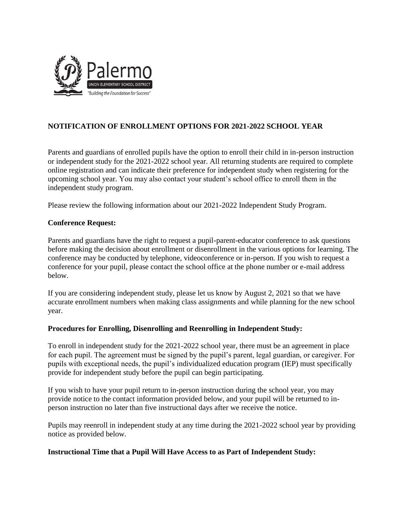

## **NOTIFICATION OF ENROLLMENT OPTIONS FOR 2021-2022 SCHOOL YEAR**

Parents and guardians of enrolled pupils have the option to enroll their child in in-person instruction or independent study for the 2021-2022 school year. All returning students are required to complete online registration and can indicate their preference for independent study when registering for the upcoming school year. You may also contact your student's school office to enroll them in the independent study program.

Please review the following information about our 2021-2022 Independent Study Program.

## **Conference Request:**

Parents and guardians have the right to request a pupil-parent-educator conference to ask questions before making the decision about enrollment or disenrollment in the various options for learning. The conference may be conducted by telephone, videoconference or in-person. If you wish to request a conference for your pupil, please contact the school office at the phone number or e-mail address below.

If you are considering independent study, please let us know by August 2, 2021 so that we have accurate enrollment numbers when making class assignments and while planning for the new school year.

## **Procedures for Enrolling, Disenrolling and Reenrolling in Independent Study:**

To enroll in independent study for the 2021-2022 school year, there must be an agreement in place for each pupil. The agreement must be signed by the pupil's parent, legal guardian, or caregiver. For pupils with exceptional needs, the pupil's individualized education program (IEP) must specifically provide for independent study before the pupil can begin participating.

If you wish to have your pupil return to in-person instruction during the school year, you may provide notice to the contact information provided below, and your pupil will be returned to inperson instruction no later than five instructional days after we receive the notice.

Pupils may reenroll in independent study at any time during the 2021-2022 school year by providing notice as provided below.

## **Instructional Time that a Pupil Will Have Access to as Part of Independent Study:**